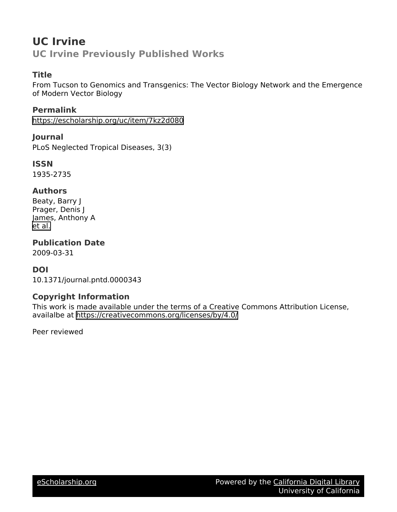# **UC Irvine UC Irvine Previously Published Works**

# **Title**

From Tucson to Genomics and Transgenics: The Vector Biology Network and the Emergence of Modern Vector Biology

**Permalink** <https://escholarship.org/uc/item/7kz2d080>

**Journal** PLoS Neglected Tropical Diseases, 3(3)

**ISSN** 1935-2735

# **Authors**

Beaty, Barry J Prager, Denis J James, Anthony A [et al.](https://escholarship.org/uc/item/7kz2d080#author)

**Publication Date**

2009-03-31

# **DOI**

10.1371/journal.pntd.0000343

# **Copyright Information**

This work is made available under the terms of a Creative Commons Attribution License, availalbe at <https://creativecommons.org/licenses/by/4.0/>

Peer reviewed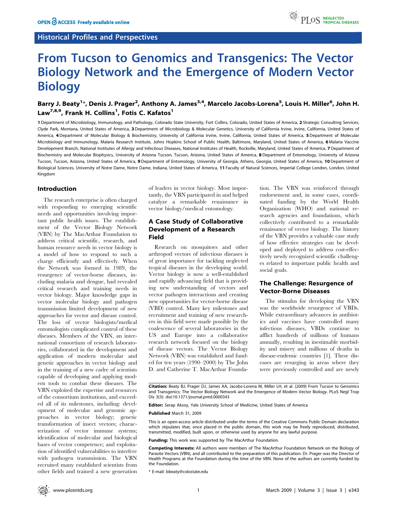# Historical Profiles and Perspectives



# From Tucson to Genomics and Transgenics: The Vector Biology Network and the Emergence of Modern Vector **Biology**

# Barry J. Beaty<sup>1</sup>\*, Denis J. Prager<sup>2</sup>, Anthony A. James<sup>3,4</sup>, Marcelo Jacobs-Lorena<sup>5</sup>, Louis H. Miller<sup>6</sup>, John H. Law<sup>7,8,9</sup>, Frank H. Collins<sup>1</sup>, Fotis C. Kafatos<sup>1</sup>

1 Department of Microbiology, Immunology, and Pathology, Colorado State University, Fort Collins, Colorado, United States of America, 2 Strategic Consulting Services, Clyde Park, Montana, United States of America, 3 Department of Microbiology & Molecular Genetics, University of California Irvine, Irvine, California, United States of America, 4Department of Molecular Biology & Biochemistry, University of California Irvine, California, United States of America, 5 Department of Molecular Microbiology and Immunology, Malaria Research Institute, Johns Hopkins School of Public Health, Baltimore, Maryland, United States of America, 6 Malaria Vaccine Development Branch, National Institutes of Allergy and Infectious Diseases, National Institutes of Health, Rockville, Maryland, United States of America, 7 Department of Biochemistry and Molecular Biophysics, University of Arizona Tucson, Tucson, Arizona, United States of America, 8 Department of Entomology, University of Arizona Tucson, Tucson, Arizona, United States of America, 9 Department of Entomology, University of Georgia, Athens, Georgia, United States of America, 10 Department of Biological Sciences, University of Notre Dame, Notre Dame, Indiana, United States of America, 11 Faculty of Natural Sciences, Imperial College London, London, United Kingdom

#### Introduction

The research enterprise is often charged with responding to emerging scientific needs and opportunities involving important public health issues. The establishment of the Vector Biology Network (VBN) by The MacArthur Foundation to address critical scientific, research, and human resource needs in vector biology is a model of how to respond to such a charge efficiently and effectively. When the Network was formed in 1989, the resurgence of vector-borne diseases, including malaria and dengue, had revealed critical research and training needs in vector biology. Major knowledge gaps in vector molecular biology and pathogen transmission limited development of new approaches for vector and disease control. The loss of vector biologists/medical entomologists complicated control of these diseases. Members of the VBN, an international consortium of research laboratories, collaborated in the development and application of modern molecular and genetic approaches in vector biology and in the training of a new cadre of scientists capable of developing and applying modern tools to combat these diseases. The VBN exploited the expertise and resources of the consortium institutions, and exceeded all of its milestones, including: development of molecular and genomic approaches in vector biology; genetic transformation of insect vectors; characterization of vector immune systems; identification of molecular and biological bases of vector competence; and exploitation of identified vulnerabilities to interfere with pathogen transmission. The VBN recruited many established scientists from other fields and trained a new generation of leaders in vector biology. Most importantly, the VBN participated in and helped catalyze a remarkable renaissance in vector biology/medical entomology.

## A Case Study of Collaborative Development of a Research Field

Research on mosquitoes and other arthropod vectors of infectious diseases is of great importance for tackling neglected tropical diseases in the developing world. Vector biology is now a well-established and rapidly advancing field that is providing new understanding of vectors and vector pathogen interactions and creating new opportunities for vector-borne disease (VBD) control. Many key milestones and recruitment and training of new researchers in this field were made possible by the coalescence of several laboratories in the US and Europe into a collaborative research network focused on the biology of disease vectors. The Vector Biology Network (VBN) was established and funded for ten years (1990–2000) by The John D. and Catherine T. MacArthur Foundation. The VBN was reinforced through endorsement and, in some cases, coordinated funding by the World Health Organization (WHO) and national research agencies and foundations, which collectively contributed to a remarkable renaissance of vector biology. The history of the VBN provides a valuable case study of how effective strategies can be developed and deployed to address cost-effectively newly recognized scientific challenges related to important public health and social goals.

## The Challenge: Resurgence of Vector-Borne Diseases

The stimulus for developing the VBN was the worldwide resurgence of VBDs. While extraordinary advances in antibiotics and vaccines have controlled many infectious diseases, VBDs continue to afflict hundreds of millions of humans annually, resulting in inestimable morbidity and misery and millions of deaths in disease-endemic countries [1]. These diseases are resurging in areas where they were previously controlled and are newly

Editor: Serap Aksoy, Yale University School of Medicine, United States of America

Published March 31, 2009

This is an open-access article distributed under the terms of the Creative Commons Public Domain declaration which stipulates that, once placed in the public domain, this work may be freely reproduced, distributed, transmitted, modified, built upon, or otherwise used by anyone for any lawful purpose.

Funding: This work was supported by The MacArthur Foundation.

Competing Interests: All authors were members of The MacArthur Foundation Network on the Biology of Parasite Vectors (VBN), and all contributed to the preparation of this publication. Dr. Prager was the Director of Health Programs at the Foundation during the time of the VBN. None of the authors are currently funded by the Foundation.

\* E-mail: bbeaty@colostate.edu

Citation: Beaty BJ, Prager DJ, James AA, Jacobs-Lorena M, Miller LH, et al. (2009) From Tucson to Genomics and Transgenics: The Vector Biology Network and the Emergence of Modern Vector Biology. PLoS Negl Trop Dis 3(3): doi:10.1371/journal.pntd.0000343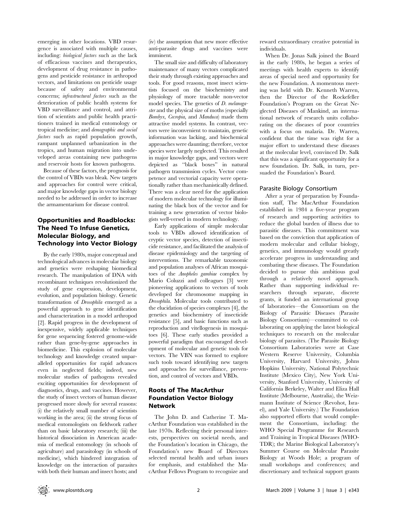emerging in other locations. VBD resurgence is associated with multiple causes, including: biological factors such as the lack of efficacious vaccines and therapeutics, development of drug resistance in pathogens and pesticide resistance in arthropod vectors, and limitations on pesticide usage because of safety and environmental concerns; infrastructural factors such as the deterioration of public health systems for VBD surveillance and control, and attrition of scientists and public health practitioners trained in medical entomology or tropical medicine; and demographic and social factors such as rapid population growth, rampant unplanned urbanization in the tropics, and human migration into undeveloped areas containing new pathogens and reservoir hosts for known pathogens.

Because of these factors, the prognosis for the control of VBDs was bleak. New targets and approaches for control were critical, and major knowledge gaps in vector biology needed to be addressed in order to increase the armamentarium for disease control.

# Opportunities and Roadblocks: The Need To Infuse Genetics, Molecular Biology, and Technology into Vector Biology

By the early 1980s, major conceptual and technological advances in molecular biology and genetics were reshaping biomedical research. The manipulation of DNA with recombinant techniques revolutionized the study of gene expression, development, evolution, and population biology. Genetic transformation of Drosophila emerged as a powerful approach to gene identification and characterization in a model arthropod [2]. Rapid progress in the development of inexpensive, widely applicable techniques for gene sequencing fostered genome-wide rather than gene-by-gene approaches in biomedicine. This explosion of molecular technology and knowledge created unparalleled opportunities for rapid advances even in neglected fields; indeed, new molecular studies of pathogens revealed exciting opportunities for development of diagnostics, drugs, and vaccines. However, the study of insect vectors of human disease progressed more slowly for several reasons: (i) the relatively small number of scientists working in the area; (ii) the strong focus of medical entomologists on fieldwork rather than on basic laboratory research; (iii) the historical dissociation in American academia of medical entomology (in schools of agriculture) and parasitology (in schools of medicine), which hindered integration of knowledge on the interaction of parasites with both their human and insect hosts; and

(iv) the assumption that new more effective anti-parasite drugs and vaccines were imminent.

The small size and difficulty of laboratory maintenance of many vectors complicated their study through existing approaches and tools. For good reasons, most insect scientists focused on the biochemistry and physiology of more tractable non-vector model species. The genetics of *D. melanoga*ster and the physical size of moths (especially Bombyx, Cecropia, and Manduca) made them attractive model systems. In contrast, vectors were inconvenient to maintain, genetic information was lacking, and biochemical approaches were daunting; therefore, vector species were largely neglected. This resulted in major knowledge gaps, and vectors were depicted as ''black boxes'' in natural pathogen transmission cycles. Vector competence and vectorial capacity were operationally rather than mechanistically defined. There was a clear need for the application of modern molecular technology for illuminating the black box of the vector and for training a new generation of vector biologists well-versed in modern technology.

Early applications of simple molecular tools to VBDs allowed identification of cryptic vector species, detection of insecticide resistance, and facilitated the analysis of disease epidemiology and the targeting of interventions. The remarkable taxonomic and population analyses of African mosquitoes of the Anopheles gambiae complex by Mario Coluzzi and colleagues [3] were pioneering applications to vectors of tools developed for chromosome mapping in Drosophila. Molecular tools contributed to the elucidation of species complexes [4], the genetics and biochemistry of insecticide resistance [5], and basic functions such as reproduction and vitellogenesis in mosquitoes [6]. These early studies provided a powerful paradigm that encouraged development of molecular and genetic tools for vectors. The VBN was formed to explore such tools toward identifying new targets and approaches for surveillance, prevention, and control of vectors and VBDs.

# Roots of The MacArthur Foundation Vector Biology Network

The John D. and Catherine T. MacArthur Foundation was established in the late 1970s. Reflecting their personal interests, perspectives on societal needs, and the Foundation's location in Chicago, the Foundation's new Board of Directors selected mental health and urban issues for emphasis, and established the MacArthur Fellows Program to recognize and reward extraordinary creative potential in individuals.

When Dr. Jonas Salk joined the Board in the early 1980s, he began a series of meetings with health experts to identify areas of special need and opportunity for the new Foundation. A momentous meeting was held with Dr. Kenneth Warren, then the Director of the Rockefeller Foundation's Program on the Great Neglected Diseases of Mankind, an international network of research units collaborating on the diseases of poor countries with a focus on malaria. Dr. Warren, confident that the time was right for a major effort to understand these diseases at the molecular level, convinced Dr. Salk that this was a significant opportunity for a new foundation. Dr. Salk, in turn, persuaded the Foundation's Board.

# Parasite Biology Consortium

After a year of preparation by Foundation staff, The MacArthur Foundation established in 1984 a five-year program of research and supporting activities to reduce the global burden of illness due to parasitic diseases. This commitment was based on the conviction that application of modern molecular and cellular biology, genetics, and immunology would greatly accelerate progress in understanding and combating these diseases. The Foundation decided to pursue this ambitious goal through a relatively novel approach. Rather than supporting individual researchers through separate, discrete grants, it funded an international group of laboratories—the Consortium on the Biology of Parasitic Diseases (Parasite Biology Consortium)—committed to collaborating on applying the latest biological techniques to research on the molecular biology of parasites. (The Parasite Biology Consortium Laboratories were at Case Western Reserve University, Columbia University, Harvard University, Johns Hopkins University, National Polytechnic Institute (Mexico City), New York University, Stanford University, University of California Berkeley, Walter and Eliza Hall Institute (Melbourne, Australia), the Weizmann Institute of Science (Revohot, Israel), and Yale University.) The Foundation also supported efforts that would complement the Consortium, including: the WHO Special Programme for Research and Training in Tropical Diseases (WHO-TDR); the Marine Biological Laboratory's Summer Course on Molecular Parasite Biology at Woods Hole; a program of small workshops and conferences; and discretionary and technical support grants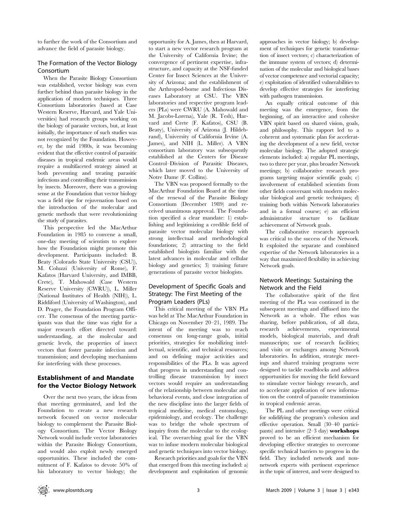to further the work of the Consortium and advance the field of parasite biology.

# The Formation of the Vector Biology Consortium

When the Parasite Biology Consortium was established, vector biology was even further behind than parasite biology in the application of modern techniques. Three Consortium laboratories (based at Case Western Reserve, Harvard, and Yale Universities) had research groups working on the biology of parasite vectors, but, at least initially, the importance of such studies was not recognized by the Foundation. However, by the mid 1980s, it was becoming evident that the effective control of parasitic diseases in tropical endemic areas would require a multifaceted strategy aimed at both preventing and treating parasitic infections and controlling their transmission by insects. Moreover, there was a growing sense at the Foundation that vector biology was a field ripe for rejuvenation based on the introduction of the molecular and genetic methods that were revolutionizing the study of parasites.

This perspective led the MacArthur Foundation in 1985 to convene a small, one-day meeting of scientists to explore how the Foundation might promote this development. Participants included: B. Beaty (Colorado State University (CSU)), M. Coluzzi (University of Rome), F. Kafatos (Harvard University, and IMBB, Crete), T. Mahowald (Case Western Reserve University (CWRU)), L. Miller (National Institutes of Health (NIH)), L. Riddiford (University of Washington), and D. Prager, the Foundation Program Officer. The consensus of the meeting participants was that the time was right for a major research effort directed toward: understanding, at the molecular and genetic levels, the properties of insect vectors that foster parasite infection and transmission; and developing mechanisms for interfering with these processes.

# Establishment of and Mandate for the Vector Biology Network

Over the next two years, the ideas from that meeting germinated, and led the Foundation to create a new research network focused on vector molecular biology to complement the Parasite Biology Consortium. The Vector Biology Network would include vector laboratories within the Parasite Biology Consortium, and would also exploit newly emerged opportunities. These included the commitment of F. Kafatos to devote 50% of his laboratory to vector biology; the opportunity for A. James, then at Harvard, to start a new vector research program at the University of California Irvine; the convergence of pertinent expertise, infrastructure, and capacity at the NSF-funded Center for Insect Sciences at the University of Arizona; and the establishment of the Arthropod-borne and Infectious Diseases Laboratory at CSU. The VBN laboratories and respective program leaders (PLs) were CWRU (A. Mahowald and M. Jacobs-Lorena), Yale (R. Tesh), Harvard and Crete (F. Kafatos), CSU (B. Beaty), University of Arizona (J. Hildebrand), University of California Irvine (A. James), and NIH (L. Miller). A VBN consortium laboratory was subsequently established at the Centers for Disease Control–Division of Parasitic Diseases, which later moved to the University of Notre Dame (F. Collins).

The VBN was proposed formally to the MacArthur Foundation Board at the time of the renewal of the Parasite Biology Consortium (December 1989) and received unanimous approval. The Foundation specified a clear mandate: 1) establishing and legitimizing a credible field of parasite vector molecular biology with strong intellectual and methodological foundations; 2) attracting to the field established biologists familiar with the latest advances in molecular and cellular biology and genetics; 3) training future generations of parasite vector biologists.

# Development of Specific Goals and Strategy: The First Meeting of the Program Leaders (PLs)

This critical meeting of the VBN PLs was held at The MacArthur Foundation in Chicago on November 20–21, 1989. The intent of the meeting was to reach consensus on long-range goals, initial priorities, strategies for mobilizing intellectual, scientific, and technical resources; and on defining major activities and responsibilities of the PLs. It was agreed that progress in understanding and controlling disease transmission by insect vectors would require an understanding of the relationship between molecular and behavioral events, and close integration of the new discipline into the larger fields of tropical medicine, medical entomology, epidemiology, and ecology. The challenge was to bridge the whole spectrum of inquiry from the molecular to the ecological. The overarching goal for the VBN was to infuse modern molecular biological and genetic techniques into vector biology.

Research priorities and goals for the VBN that emerged from this meeting included: a) development and exploitation of genomic approaches in vector biology; b) development of techniques for genetic transformation of insect vectors; c) characterization of the immune system of vectors; d) determination of the molecular and biological bases of vector competence and vectorial capacity; e) exploitation of identified vulnerabilities to develop effective strategies for interfering with pathogen transmission.

An equally critical outcome of this meeting was the emergence, from the beginning, of an interactive and cohesive VBN spirit based on shared vision, goals, and philosophy. This rapport led to a coherent and systematic plan for accelerating the development of a new field, vector molecular biology. The adopted strategic elements included: a) regular PL meetings, two to three per year, plus broader Network meetings; b) collaborative research programs targeting major scientific goals; c) involvement of established scientists from other fields conversant with modern molecular biological and genetic techniques; d) training both within Network laboratories and in a formal course; e) an efficient administrative structure to facilitate achievement of Network goals.

The collaborative research approach was critical to the success of the Network. It exploited the separate and combined expertise of the Network laboratories in a way that maximized flexibility in achieving Network goals.

# Network Meetings: Sustaining the Network and the Field

The collaborative spirit of the first meeting of the PLs was continued in the subsequent meetings and diffused into the Network as a whole. The ethos was sharing, before publication, of all data, research achievements, experimental models, biological materials, and draft manuscripts; use of research facilities; and visits or exchanges among Network laboratories. In addition, strategic meetings and shared training programs were designed to tackle roadblocks and address opportunities for moving the field forward to stimulate vector biology research, and to accelerate application of new information on the control of parasite transmission in tropical endemic areas.

The PL and other meetings were critical for solidifying the program's cohesion and effective operation. Small (30–40 participants) and intensive  $(2-3 \text{ day})$  workshops proved to be an efficient mechanism for developing effective strategies to overcome specific technical barriers to progress in the field. They included network and nonnetwork experts with pertinent experience in the topic of interest, and were designed to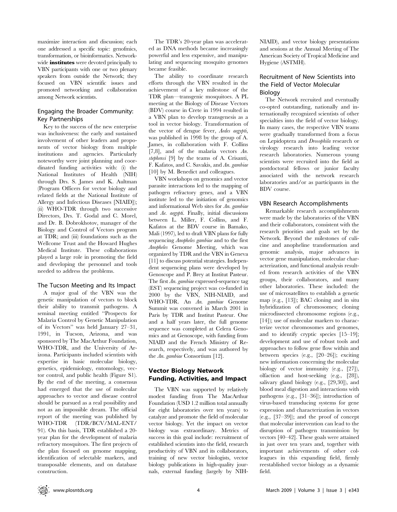maximize interaction and discussion; each one addressed a specific topic: genofmics, transformation, or bioinformatics. Networkwide **institutes** were devoted principally to VBN participants with one or two plenary speakers from outside the Network; they focused on VBN scientific issues and promoted networking and collaboration among Network scientists.

## Engaging the Broader Community: Key Partnerships

Key to the success of the new enterprise was inclusiveness: the early and sustained involvement of other leaders and proponents of vector biology from multiple institutions and agencies. Particularly noteworthy were joint planning and coordinated funding activities with: (i) the National Institutes of Health (NIH) through Drs. S. James and K. Aultman (Program Officers for vector biology and related fields at the National Institute of Allergy and Infectious Diseases [NIAID]); (ii) WHO-TDR through two successive Directors, Drs. T. Godal and C. Morel, and Dr. B. Dobrokhotov, manager of the Biology and Control of Vectors program at TDR; and (iii) foundations such as the Wellcome Trust and the Howard Hughes Medical Institute. These collaborations played a large role in promoting the field and developing the personnel and tools needed to address the problems.

## The Tucson Meeting and Its Impact

A major goal of the VBN was the genetic manipulation of vectors to block their ability to transmit pathogens. A seminal meeting entitled ''Prospects for Malaria Control by Genetic Manipulation of its Vectors'' was held January 27–31, 1991, in Tucson, Arizona, and was sponsored by The MacArthur Foundation, WHO-TDR, and the University of Arizona. Participants included scientists with expertise in basic molecular biology, genetics, epidemiology, entomology, vector control, and public health (Figure S1). By the end of the meeting, a consensus had emerged that the use of molecular approaches to vector and disease control should be pursued as a real possibility and not as an impossible dream. The official report of the meeting was published by WHO-TDR (TDR/BCV/MAL-ENT/ 91). On this basis, TDR established a 20 year plan for the development of malaria refractory mosquitoes. The first projects of the plan focused on genome mapping, identification of selectable markers, and transposable elements, and on database construction.

The TDR's 20-year plan was accelerated as DNA methods became increasingly powerful and less expensive, and manipulating and sequencing mosquito genomes became feasible.

The ability to coordinate research efforts through the VBN resulted in the achievement of a key milestone of the TDR plan—transgenic mosquitoes. A PL meeting at the Biology of Disease Vectors (BDV) course in Crete in 1994 resulted in a VBN plan to develop transgenesis as a tool in vector biology. Transformation of the vector of dengue fever, Aedes aegypti, was published in 1998 by the group of A. James, in collaboration with F. Collins [7,8], and of the malaria vectors An. stephensi [9] by the teams of A. Crisanti, F. Kafatos, and C. Savakis, and An. gambiae [10] by M. Benedict and colleagues.

VBN workshops on genomics and vector parasite interactions led to the mapping of pathogen refractory genes, and a VBN institute led to the initiation of genomics and informational Web sites for An. gambiae and Ae. aegypti. Finally, initial discussions between L. Miller, F. Collins, and F. Kafatos at the BDV course in Bamako, Mali (1997), led to draft VBN plans for fully sequencing Anopheles gambiae and to the first Anopheles Genome Meeting, which was organized by TDR and the VBN in Geneva [11] to discuss potential strategies. Independent sequencing plans were developed by Genoscope and P. Brey at Institut Pasteur. The first An. gambiae expressed-sequence tag (EST) sequencing project was co-funded in 2000 by the VBN, NIH-NIAID, and WHO-TDR. An An. gambiae Genome Summit was convened in March 2001 in Paris by TDR and Institut Pasteur. One and a half years later, the full genome sequence was completed at Celera Genomics and at Genoscope, with funding from NIAID and the French Ministry of Research, respectively, and was authored by the An. gambiae Consortium [12].

# Vector Biology Network Funding, Activities, and Impact

The VBN was supported by relatively modest funding from The MacArthur Foundation (USD 1.2 million total annually for eight laboratories over ten years) to catalyze and promote the field of molecular vector biology. Yet the impact on vector biology was extraordinary. Metrics of success in this goal include: recruitment of established scientists into the field, research productivity of VBN and its collaborators, training of new vector biologists, vector biology publications in high-quality journals, external funding (largely by NIH-

NIAID), and vector biology presentations and sessions at the Annual Meeting of The American Society of Tropical Medicine and Hygiene (ASTMH).

# Recruitment of New Scientists into the Field of Vector Molecular Biology

The Network recruited and eventually co-opted outstanding, nationally and internationally recognized scientists of other specialties into the field of vector biology. In many cases, the respective VBN teams were gradually transformed from a focus on Lepidoptera and Drosophila research or virology research into leading vector research laboratories. Numerous young scientists were recruited into the field as postdoctoral fellows or junior faculty associated with the network research laboratories and/or as participants in the BDV course.

## VBN Research Accomplishments

Remarkable research accomplishments were made by the laboratories of the VBN and their collaborators, consistent with the research priorities and goals set by the Network. Beyond the milestones of culicine and anopheline transformation and genomic analysis, major advances in vector gene manipulation, molecular characterization, and functional analysis resulted from research activities of the VBN groups, their collaborators, and many other laboratories. These included: the use of microsatellites to establish a genetic map (e.g., [13]); BAC cloning and in situ hybridization of chromosomes; cloning microdissected chromosome regions (e.g., [14]); use of molecular markers to characterize vector chromosomes and genomes, and to identify cryptic species [15–19]; development and use of robust tools and approaches to follow gene flow within and between species (e.g., [20–26]); exciting new information concerning the molecular biology of vector immunity (e.g., [27]), olfaction and host-seeking (e.g., [28]), salivary gland biology (e.g., [29,30]), and blood meal digestion and interactions with pathogens (e.g., [31–36]); introduction of virus-based transducing systems for gene expression and characterization in vectors (e.g., [37–39]); and the proof of concept that molecular intervention can lead to the disruption of pathogen transmission by vectors [40–42]. These goals were attained in just over ten years and, together with important achievements of other colleagues in this expanding field, firmly reestablished vector biology as a dynamic field.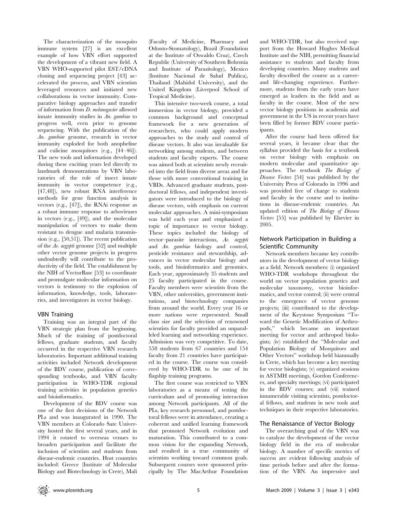The characterization of the mosquito immune system [27] is an excellent example of how VBN effort supported the development of a vibrant new field. A VBN WHO-supported pilot EST/cDNA cloning and sequencing project [43] accelerated the process, and VBN scientists leveraged resources and initiated new collaborations in vector immunity. Comparative biology approaches and transfer of information from D. melanogaster allowed innate immunity studies in An. gambiae to progress well, even prior to genome sequencing. With the publication of the An. gambiae genome, research in vector immunity exploded for both anopheline and culicine mosquitoes (e.g., [44–46]). The new tools and information developed during these exciting years led directly to landmark demonstrations by VBN laboratories of: the role of insect innate immunity in vector competence (e.g., [47,48]), new robust RNA interference methods for gene function analysis in vectors (e.g., [47]), the RNAi response as a robust immune response to arboviruses in vectors (e.g., [49]), and the molecular manipulation of vectors to make them resistant to dengue and malaria transmission (e.g., [50,51]). The recent publication of the Ae. aegypti genome [52] and multiple other vector genome projects in progress undoubtedly will contribute to the productivity of the field. The establishment by the NIH of VectorBase [53] to coordinate and promulgate molecular information on vectors is testimony to the explosion of information, knowledge, tools, laboratories, and investigators in vector biology.

## VBN Training

Training was an integral part of the VBN strategic plan from the beginning. Much of the training of postdoctoral fellows, graduate students, and faculty occurred in the respective VBN research laboratories. Important additional training activities included Network development of the BDV course, publication of corresponding textbooks, and VBN faculty participation in WHO-TDR regional training activities in population genetics and bioinformatics.

Development of the BDV course was one of the first decisions of the Network PLs and was inaugurated in 1990. The VBN members at Colorado Sate University hosted the first several years, and in 1994 it rotated to overseas venues to broaden participation and facilitate the inclusion of scientists and students from disease-endemic countries. Host countries included: Greece (Institute of Molecular Biology and Biotechnology in Crete), Mali (Faculty of Medicine, Pharmacy and Odonto-Stomatology), Brazil (Foundation at the Institute of Oswaldo Cruz), Czech Republic (University of Southern Bohemia and Institute of Parasitology), Mexico (Institute Nacional de Salud Publica), Thailand (Mahidol University), and the United Kingdom (Liverpool School of Tropical Medicine).

This intensive two-week course, a total immersion in vector biology, provided a common background and conceptual framework for a new generation of researchers, who could apply modern approaches to the study and control of disease vectors. It also was invaluable for networking among students, and between students and faculty experts. The course was aimed both at scientists newly recruited into the field from diverse areas and for those with more conventional training in VBDs. Advanced graduate students, postdoctoral fellows, and independent investigators were introduced to the biology of disease vectors, with emphasis on current molecular approaches. A mini-symposium was held each year and emphasized a topic of importance to vector biology. These topics included the biology of vector–parasite interactions, Ae. aegypti and An. gambiae biology and control, pesticide resistance and stewardship, advances in vector molecular biology and tools, and bioinformatics and genomics. Each year, approximately 35 students and 25 faculty participated in the course. Faculty members were scientists from the VBN, other universities, government institutions, and biotechnology companies from around the world. Every year 16 or more nations were represented. Small class size and the selection of renowned scientists for faculty provided an unparalleled learning and networking experience. Admission was very competitive. To date, 558 students from 67 countries and 154 faculty from 21 countries have participated in the course. The course was considered by WHO-TDR to be one of its flagship training programs.

The first course was restricted to VBN laboratories as a means of testing the curriculum and of promoting interaction among Network participants. All of the PLs, key research personnel, and postdoctoral fellows were in attendance, creating a coherent and unified learning framework that promoted Network evolution and maturation. This contributed to a common vision for the expanding Network, and resulted in a true community of scientists working toward common goals. Subsequent courses were sponsored principally by The MacArthur Foundation

and WHO-TDR, but also received support from the Howard Hughes Medical Institute and the NIH, permitting financial assistance to students and faculty from developing countries. Many students and faculty described the course as a careerand life-changing experience. Furthermore, students from the early years have emerged as leaders in the field and as faculty in the course. Most of the new vector biology positions in academia and government in the US in recent years have been filled by former BDV course participants.

After the course had been offered for several years, it became clear that the syllabus provided the basis for a textbook on vector biology with emphasis on modern molecular and quantitative approaches. The textbook The Biology of Disease Vectors [54] was published by the University Press of Colorado in 1996 and was provided free of charge to students and faculty in the course and to institutions in disease-endemic countries. An updated edition of The Biology of Disease Vectors [55] was published by Elsevier in 2005.

## Network Participation in Building a Scientific Community

Network members became key contributors in the development of vector biology as a field. Network members: (i) organized WHO-TDR workshops throughout the world on vector population genetics and molecular taxonomy, vector bioinformatics, and vector control; (ii) were central to the emergence of vector genome projects; (iii) contributed to the development of the Keystone Symposium ''Toward the Genetic Modification of Arthropods,'' which became an important meeting for vector and arthropod biologists; (iv) established the ''Molecular and Population Biology of Mosquitoes and Other Vectors'' workshop held biannually in Crete, which has become a key meeting for vector biologists; (v) organized sessions in ASTMH meetings, Gordon Conferences, and specialty meetings; (vi) participated in the BDV courses; and (vii) trained innumerable visiting scientists, postdoctoral fellows, and students in new tools and techniques in their respective laboratories.

#### The Renaissance of Vector Biology

The overarching goal of the VBN was to catalyze the development of the vector biology field in the era of molecular biology. A number of specific metrics of success are evident following analysis of time periods before and after the formation of the VBN. An impressive and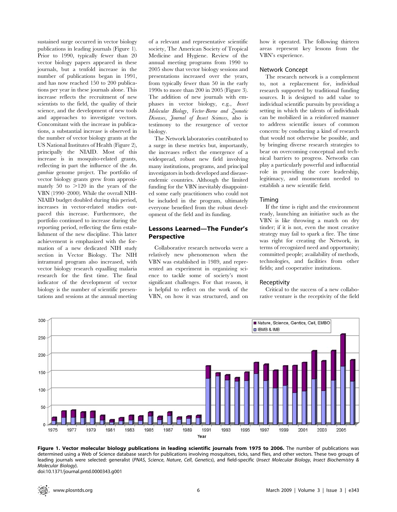sustained surge occurred in vector biology publications in leading journals (Figure 1). Prior to 1990, typically fewer than 20 vector biology papers appeared in these journals, but a tenfold increase in the number of publications began in 1991, and has now reached 150 to 200 publications per year in these journals alone. This increase reflects the recruitment of new scientists to the field, the quality of their science, and the development of new tools and approaches to investigate vectors. Concomitant with the increase in publications, a substantial increase is observed in the number of vector biology grants at the US National Institutes of Health (Figure 2), principally the NIAID. Most of this increase is in mosquito-related grants, reflecting in part the influence of the An. gambiae genome project. The portfolio of vector biology grants grew from approximately 50 to  $>120$  in the years of the VBN (1990–2000). While the overall NIH-NIAID budget doubled during this period, increases in vector-related studies outpaced this increase. Furthermore, the portfolio continued to increase during the reporting period, reflecting the firm establishment of the new discipline. This latter achievement is emphasized with the formation of a new dedicated NIH study section in Vector Biology. The NIH intramural program also increased, with vector biology research equalling malaria research for the first time. The final indicator of the development of vector biology is the number of scientific presentations and sessions at the annual meeting of a relevant and representative scientific society, The American Society of Tropical Medicine and Hygiene. Review of the annual meeting programs from 1990 to 2005 show that vector biology sessions and presentations increased over the years, from typically fewer than 50 in the early 1990s to more than 200 in 2005 (Figure 3). The addition of new journals with emphases in vector biology, e.g., Insect Molecular Biology, Vector-Borne and Zoonotic Diseases, Journal of Insect Sciences, also is testimony to the resurgence of vector biology.

The Network laboratories contributed to a surge in these metrics but, importantly, the increases reflect the emergence of a widespread, robust new field involving many institutions, programs, and principal investigators in both developed and diseaseendemic countries. Although the limited funding for the VBN inevitably disappointed some early practitioners who could not be included in the program, ultimately everyone benefited from the robust development of the field and its funding.

# Lessons Learned—The Funder's Perspective

Collaborative research networks were a relatively new phenomenon when the VBN was established in 1989, and represented an experiment in organizing science to tackle some of society's most significant challenges. For that reason, it is helpful to reflect on the work of the VBN, on how it was structured, and on how it operated. The following thirteen areas represent key lessons from the VBN's experience.

#### Network Concept

The research network is a complement to, not a replacement for, individual research supported by traditional funding sources. It is designed to add value to individual scientific pursuits by providing a setting in which the talents of individuals can be mobilized in a reinforced manner to address scientific issues of common concern: by conducting a kind of research that would not otherwise be possible, and by bringing diverse research strategies to bear on overcoming conceptual and technical barriers to progress. Networks can play a particularly powerful and influential role in providing the core leadership, legitimacy, and momentum needed to establish a new scientific field.

#### Timing

If the time is right and the environment ready, launching an initiative such as the VBN is like throwing a match on dry tinder; if it is not, even the most creative strategy may fail to spark a fire. The time was right for creating the Network, in terms of recognized need and opportunity; committed people; availability of methods, technologies, and facilities from other fields; and cooperative institutions.

#### Receptivity

Critical to the success of a new collaborative venture is the receptivity of the field



Figure 1. Vector molecular biology publications in leading scientific journals from 1975 to 2006. The number of publications was determined using a Web of Science database search for publications involving mosquitoes, ticks, sand flies, and other vectors. These two groups of leading journals were selected: generalist (PNAS, Science, Nature, Cell, Genetics), and field-specific (Insect Molecular Biology, Insect Biochemistry & Molecular Biology). doi:10.1371/journal.pntd.0000343.g001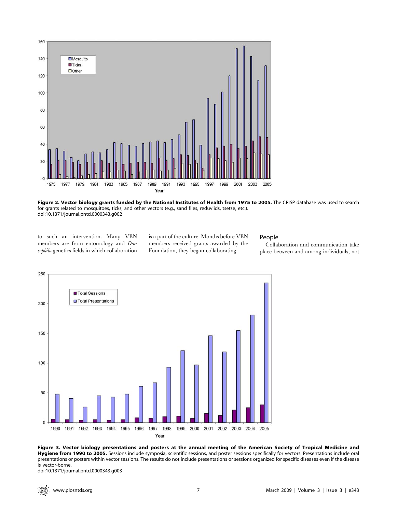

Figure 2. Vector biology grants funded by the National Institutes of Health from 1975 to 2005. The CRISP database was used to search for grants related to mosquitoes, ticks, and other vectors (e.g., sand flies, reduviids, tsetse, etc.). doi:10.1371/journal.pntd.0000343.g002

to such an intervention. Many VBN members are from entomology and Drosophila genetics fields in which collaboration is a part of the culture. Months before VBN members received grants awarded by the Foundation, they began collaborating.

#### People

Collaboration and communication take place between and among individuals, not



Figure 3. Vector biology presentations and posters at the annual meeting of the American Society of Tropical Medicine and Hygiene from 1990 to 2005. Sessions include symposia, scientific sessions, and poster sessions specifically for vectors. Presentations include oral presentations or posters within vector sessions. The results do not include presentations or sessions organized for specific diseases even if the disease is vector-borne.

doi:10.1371/journal.pntd.0000343.g003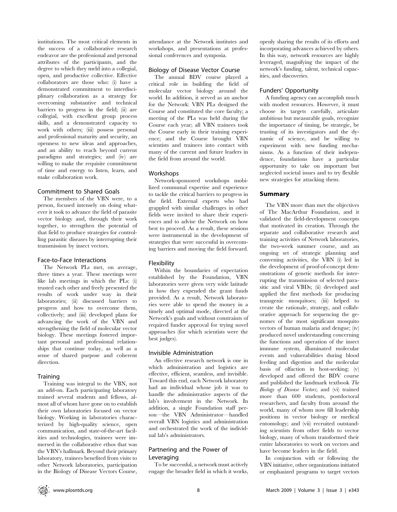institutions. The most critical elements in the success of a collaborative research endeavor are the professional and personal attributes of the participants, and the degree to which they meld into a collegial, open, and productive collective. Effective collaborators are those who: (i) have a demonstrated commitment to interdisciplinary collaboration as a strategy for overcoming substantive and technical barriers to progress in the field; (ii) are collegial, with excellent group process skills, and a demonstrated capacity to work with others; (iii) possess personal and professional maturity and security, an openness to new ideas and approaches, and an ability to reach beyond current paradigms and strategies; and (iv) are willing to make the requisite commitment of time and energy to listen, learn, and make collaboration work.

#### Commitment to Shared Goals

The members of the VBN were, to a person, focused intensely on doing whatever it took to advance the field of parasite vector biology and, through their work together, to strengthen the potential of that field to produce strategies for controlling parasitic diseases by interrupting their transmission by insect vectors.

#### Face-to-Face Interactions

The Network PLs met, on average, three times a year. These meetings were like lab meetings in which the PLs: (i) trusted each other and freely presented the results of work under way in their laboratories; (ii) discussed barriers to progress and how to overcome them, collectively; and (iii) developed plans for advancing the work of the VBN and strengthening the field of molecular vector biology. These meetings fostered important personal and professional relationships that continue today, as well as a sense of shared purpose and coherent direction.

#### **Training**

Training was integral to the VBN, not an add-on. Each participating laboratory trained several students and fellows, almost all of whom have gone on to establish their own laboratories focused on vector biology. Working in laboratories characterized by high-quality science, open communication, and state-of-the-art facilities and technologies, trainees were immersed in the collaborative ethos that was the VBN's hallmark. Beyond their primary laboratory, trainees benefited from visits to other Network laboratories, participation in the Biology of Disease Vectors Course, attendance at the Network institutes and workshops, and presentations at professional conferences and symposia.

#### Biology of Disease Vector Course

The annual BDV course played a critical role in building the field of molecular vector biology around the world. In addition, it served as an anchor for the Network: VBN PLs designed the Course and constituted the core faculty; a meeting of the PLs was held during the Course each year; all VBN trainees took the Course early in their training experience; and the Course brought VBN scientists and trainees into contact with many of the current and future leaders in the field from around the world.

#### Workshops

Network-sponsored workshops mobilized communal expertise and experience to tackle the critical barriers to progress in the field. External experts who had grappled with similar challenges in other fields were invited to share their experiences and to advise the Network on how best to proceed. As a result, these sessions were instrumental in the development of strategies that were successful in overcoming barriers and moving the field forward.

#### Flexibility

Within the boundaries of expectation established by the Foundation, VBN laboratories were given very wide latitude in how they expended the grant funds provided. As a result, Network laboratories were able to spend the money in a timely and optimal mode, directed at the Network's goals and without constraints of required funder approval for trying novel approaches (for which scientists were the best judges).

#### Invisible Administration

An effective research network is one in which administration and logistics are effective, efficient, seamless, and invisible. Toward this end, each Network laboratory had an individual whose job it was to handle the administrative aspects of the lab's involvement in the Network. In addition, a single Foundation staff person—the VBN Administrator—handled overall VBN logistics and administration and orchestrated the work of the individual lab's administrators.

#### Partnering and the Power of Leveraging

To be successful, a network must actively engage the broader field in which it works, openly sharing the results of its efforts and incorporating advances achieved by others. In this way, network resources are highly leveraged, magnifying the impact of the network's funding, talent, technical capacities, and discoveries.

#### Funders' Opportunity

A funding agency can accomplish much with modest resources. However, it must choose its targets carefully, articulate ambitious but measurable goals, recognize the importance of timing, be strategic, be trusting of its investigators and the dynamic of science, and be willing to experiment with new funding mechanisms. As a function of their independence, foundations have a particular opportunity to take on important but neglected societal issues and to try flexible new strategies for attacking them.

#### Summary

The VBN more than met the objectives of The MacArthur Foundation, and it validated the field-development concepts that motivated its creation. Through the separate and collaborative research and training activities of Network laboratories, the two-week summer course, and an ongoing set of strategic planning and convening activities, the VBN (i) led in the development of proof-of-concept demonstrations of genetic methods for interrupting the transmission of selected parasitic and viral VBDs; (ii) developed and applied the first methods for producing transgenic mosquitoes; (iii) helped to create the rationale, strategy, and collaborative approach for sequencing the genomes of the most significant mosquito vectors of human malaria and dengue; (iv) produced novel understanding concerning the functions and operation of the insect immune system, illuminated molecular events and vulnerabilities during blood feeding and digestion and the molecular basis of olfaction in host-seeking; (v) developed and offered the BDV course and published the landmark textbook The Biology of Disease Vectors; and (vi) trained more than 600 students, postdoctoral researchers, and faculty from around the world, many of whom now fill leadership positions in vector biology or medical entomology; and (vii) recruited outstanding scientists from other fields to vector biology, many of whom transformed their entire laboratories to work on vectors and have become leaders in the field.

In conjunction with or following the VBN initiative, other organizations initiated or emphasized programs to target vectors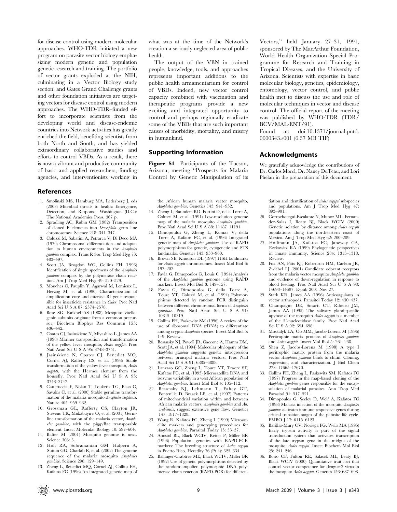for disease control using modern molecular approaches. WHO-TDR initiated a new program on parasite vector biology emphasizing modern genetic and population genetic research and training. The portfolio of vector grants exploded at the NIH, culminating in a Vector Biology study section, and Gates Grand Challenge grants and other foundation initiatives are targeting vectors for disease control using modern approaches. The WHO-TDR–funded effort to incorporate scientists from the developing world and disease-endemic countries into Network activities has greatly enriched the field, benefiting scientists from both North and South, and has yielded extraordinary collaborative studies and efforts to control VBDs. As a result, there is now a vibrant and productive community of basic and applied researchers, funding agencies, and interventionists working in

#### References

- 1. Smolinski MS, Hamburg MA, Lederberg J, eds (2003) Microbial threats to health: Emergence, Detection, and Response. Washington (D.C.): The National Academies Press. 367 p.
- 2. Spradling AC, Rubin GM (1982) Transposition of cloned P elements into Drosophila germ line chromosomes. Science 218: 341–347.
- 3. Coluzzi M, Sabatini A, Petrarca V, Di Deco MA (1979) Chromosomal differentiation and adaptation to human environments in the Anopheles gambiae complex. Trans R Soc Trop Med Hyg 73: 483–497.
- 4. Scott JA, Brogdon WG, Collins FH (1993) Identification of single specimens of the Anopheles gambiae complex by the polymerase chain reaction. Am J Trop Med Hyg 49: 520–529.
- 5. Mouches C, Pauplin Y, Agarwal M, Lemieux L, Herzog M, et al. (1990) Characterization of amplification core and esterase B1 gene responsible for insecticide resistance in Culex. Proc Natl Acad Sci U S A 87: 2574–2578.
- 6. Bose SG, Raikhel AS (1988) Mosquito vitellogenin subunits originate from a common precursor. Biochem Biophys Res Commun 155: 436–442.
- 7. Coates CJ, Jasinskiene N, Miyashiro L, James AA (1998) Mariner transposition and transformation of the yellow fever mosquito, Aedes aegypti. Proc Natl Acad Sci U S A 95: 3748–3751.
- 8. Jasinskiene N, Coates CJ, Benedict MQ, Cornel AJ, Rafferty CS, et al. (1998) Stable transformation of the yellow fever mosquito, Aedes aegypti, with the Hermes element from the housefly. Proc Natl Acad Sci U S A 95: 3743–3747.
- 9. Catteruccia F, Nolan T, Loukeris TG, Blass C, Savakis C, et al. (2000) Stable germline transformation of the malaria mosquito Anopheles stephensi. Nature 405: 959–962.
- 10. Grossman GL, Rafferty CS, Clayton JR, Stevens TK, Mukabayire O, et al. (2001) Germline transformation of the malaria vector, Anopheles gambiae, with the piggyBac transposable element. Insect Molecular Biology 10: 597–604.
- 11. Balter M (2001) Mosquito genome is next. Science 306: 3.
- 12. Holt RA, Subramanian GM, Halpern A, Sutton GG, Charlab R, et al. (2002) The genome sequence of the malaria mosquito Anopheles gambiae. Science 298: 129–149.
- 13. Zheng L, Benedict MQ, Cornel AJ, Collins FH, Kafatos FC (1996) An integrated genetic map of

what was at the time of the Network's creation a seriously neglected area of public health.

The output of the VBN in trained people, knowledge, tools, and approaches represents important additions to the public health armamentarium for control of VBDs. Indeed, new vector control capacity combined with vaccination and therapeutic programs provide a new exciting and integrated opportunity to control and perhaps regionally eradicate some of the VBDs that are such important causes of morbidity, mortality, and misery in humankind.

#### Supporting Information

Figure S1 Participants of the Tucson, Arizona, meeting ''Prospects for Malaria Control by Genetic Manipulation of its

the African human malaria vector mosquito, Anopheles gambiae. Genetics 143: 941–952.

- 14. Zheng L, Saunders RD, Fortini D, della Torre A, Coluzzi M, et al. (1991) Low-resolution genome map of the malaria mosquito Anopheles gambiae. Proc Natl Acad Sci U S A 88: 11187–11191.
- 15. Dimopoulos G, Zheng L, Kumar V, della Torre A, Kafatos FC, et al. (1996) Integrated genetic map of Anopheles gambiae: Use of RAPD polymorphisms for genetic, cytogenetic and STS landmarks. Genetics 143: 953–960.
- 16. Brown SE, Knudson DL (1997) FISH landmarks for Aedes aegypti chromosomes. Insect Mol Biol 6: 197–202.
- 17. Favia G, Dimopoulos G, Louis C (1994) Analysis of the Anopheles gambiae genome using RAPD markers. Insect Mol Biol 3: 149–157.
- 18. Favia G, Dimopoulos G, della Torre A, Toure YT, Coluzzi M, et al. (1994) Polymorphisms detected by random PCR distinguish between different chromosomal forms of Anopheles gambiae. Proc Natl Acad Sci U S A 91: 10315–10319.
- 19. Collins FH, Paskewitz SM (1996) A review of the use of ribosomal DNA (rDNA) to differentiate among cryptic Anopheles species. Insect Mol Biol 5: 1–9. Review.
- 20. Besansky NJ, Powell JR, Caccone A, Hamm DM, Scott JA, et al. (1994) Molecular phylogeny of the Anopheles gambiae suggests genetic introgression between principal malaria vectors. Proc Natl Acad Sci U S A 91: 6885–6888.
- 21. Lanzaro GC, Zheng L, Toure YT, Traore SF, Kafatos FC, et al. (1995) Microsatellite DNA and isozyme variability in a west African population of Anopheles gambiae. Insect Mol Biol 4: 105–112.
- 22. Besansky NJ, Lehmann T, Fahey GT, Fontenille D, Braack LE, et al. (1997) Patterns of mitochondrial variation within and between African malaria vectors, Anopheles gambiae and An. arabiensis, suggest extensive gene flow. Genetics 147: 1817–1828.
- 23. Wang R, Kafatos FC, Zheng L (1999) Microsatellite markers and genotyping procedures for Anopheles gambiae. Parasitol Today 15: 33–37.
- 24. Apostol BL, Black WCIV, Reiter P, Miller BR (1996) Population genetics with RAPD-PCR markers: The breeding structure of Aedes aegypti in Puerto Rico. Heredity 76 (Pt 4): 325–334.
- 25. Ballinger-Crabtree ME, Black WCIV, Miller BR (1992) Use of genetic polymorphisms detected by the random-amplified polymorphic DNA polymerase chain reaction (RAPD-PCR) for differen-

Vectors,'' held January 27–31, 1991, sponsored by The MacArthur Foundation, World Health Organization Special Programme for Research and Training in Tropical Diseases, and the University of Arizona. Scientists with expertise in basic molecular biology, genetics, epidemiology, entomology, vector control, and public health met to discuss the use and role of molecular techniques in vector and disease control. The official report of the meeting was published by WHO-TDR (TDR/ BCV/MAL-ENT/91).

Found at: doi:10.1371/journal.pntd. 0000343.s001 (6.37 MB TIF)

#### Acknowledgments

We gratefully acknowledge the contributions of Dr. Carlos Morel, Dr. Nancy DuTeau, and Lori Phelan in the preparation of this document.

tiation and identification of Aedes aegypti subspecies and populations. Am J Trop Med Hyg 47: 893–901.

- 26. Gorrochotegui-Escalante N, Munoz ML, Fernandez-Salas I, Beaty BJ, Black WCIV (2000) Genetic isolation by distance among Aedes aegypti populations along the northeastern coast of Mexico. Am J Trop Med Hyg 62: 200–209.
- 27. Hoffmann JA, Kafatos FC, Janeway CA, Ezekowitz RA (1999) Phylogenetic perspectives in innate immunity. Science 284: 1313–1318. Review.
- 28. Fox AN, Pitts RJ, Robertson HM, Carlson JR, Zwiebel LJ (2001) Candidate odorant receptors from the malaria vector mosquito Anopheles gambiae and evidence of down-regulation in response to blood feeding. Proc Natl Acad Sci U S A 98: 14693–14697. E-pub 2001 Nov 27.
- 29. Stark KR, James AA (1996) Anticoagulants in vector arthropods. Parasitol Today 12: 430–437.
- 30. Champagne DE, Smartt CT, Ribeiro JM, James AA (1995) The salivary gland-specific apyrase of the mosquito Aedes aegypti is a member of the 5'-nucleotidase family. Proc Natl Acad Sci U S A 92: 694–698.
- 31. Moskalyk LA, Oo MM, Jacobs-Lorena M (1996) Peritrophic matrix proteins of Anopheles gambiae and Aedes aegypti. Insect Mol Biol 5: 261–268.
- 32. Shen Z, Jacobs-Lorena M (1998) A type I peritrophic matrix protein from the malaria vector Anopheles gambiae binds to chitin. Cloning, expression, and characterization. J Biol Chem 273: 17665–17670.
- 33. Collins FH, Zheng L, Paskewitz SM, Kafatos FC (1997) Progress in the map-based cloning of the Anopheles gambiae genes responsible for the encapsulation of malarial parasites. Ann Trop Med Parasitol 91: 517–521.
- 34. Dimopoulos G, Seeley D, Wolf A, Kafatos FC (1998) Malaria infection of the mosquito Anopheles gambiae activates immune-responsive genes during critical transition stages of the parasite life cycle. EMBO J 17: 6115–6123.
- 35. Barillas-Mury CV, Noriega FG, Wells MA (1995) Early trypsin activity is part of the signal transduction system that activates transcription of the late trypsin gene in the midgut of the mosquito, Aedes aegypti. Insect Biochem Mol Biol 25: 241–246.
- 36. Bosio CF, Fulton RE, Salasek ML, Beaty BJ, Black WCIV (2000) Quantitative trait loci that control vector competence for dengue-2 virus in the mosquito Aedes aegypti. Genetics 156: 687-698.